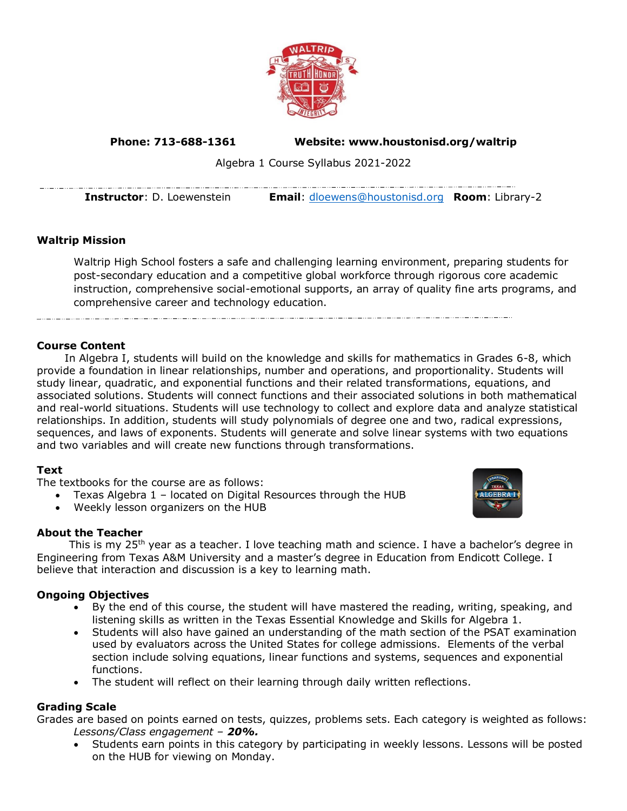

**Phone: 713-688-1361 Website: www.houstonisd.org/waltrip**

Algebra 1 Course Syllabus 2021-2022

**Instructor**: D. Loewenstein **Email**: [dloewens@houstonisd.org](mailto:dloewens@houstonisd.org) **Room**: Library-2

# **Waltrip Mission**

Waltrip High School fosters a safe and challenging learning environment, preparing students for post-secondary education and a competitive global workforce through rigorous core academic instruction, comprehensive social-emotional supports, an array of quality fine arts programs, and comprehensive career and technology education.

## **Course Content**

In Algebra I, students will build on the knowledge and skills for mathematics in Grades 6-8, which provide a foundation in linear relationships, number and operations, and proportionality. Students will study linear, quadratic, and exponential functions and their related transformations, equations, and associated solutions. Students will connect functions and their associated solutions in both mathematical and real-world situations. Students will use technology to collect and explore data and analyze statistical relationships. In addition, students will study polynomials of degree one and two, radical expressions, sequences, and laws of exponents. Students will generate and solve linear systems with two equations and two variables and will create new functions through transformations.

## **Text**

The textbooks for the course are as follows:

- Texas Algebra 1 located on Digital Resources through the HUB
- Weekly lesson organizers on the HUB

## **About the Teacher**

This is my 25<sup>th</sup> year as a teacher. I love teaching math and science. I have a bachelor's degree in Engineering from Texas A&M University and a master's degree in Education from Endicott College. I believe that interaction and discussion is a key to learning math.

## **Ongoing Objectives**

- By the end of this course, the student will have mastered the reading, writing, speaking, and listening skills as written in the Texas Essential Knowledge and Skills for Algebra 1.
- Students will also have gained an understanding of the math section of the PSAT examination used by evaluators across the United States for college admissions. Elements of the verbal section include solving equations, linear functions and systems, sequences and exponential functions.
- The student will reflect on their learning through daily written reflections.

#### **Grading Scale**

Grades are based on points earned on tests, quizzes, problems sets. Each category is weighted as follows: *Lessons/Class engagement – 20%.* 

• Students earn points in this category by participating in weekly lessons. Lessons will be posted on the HUB for viewing on Monday.